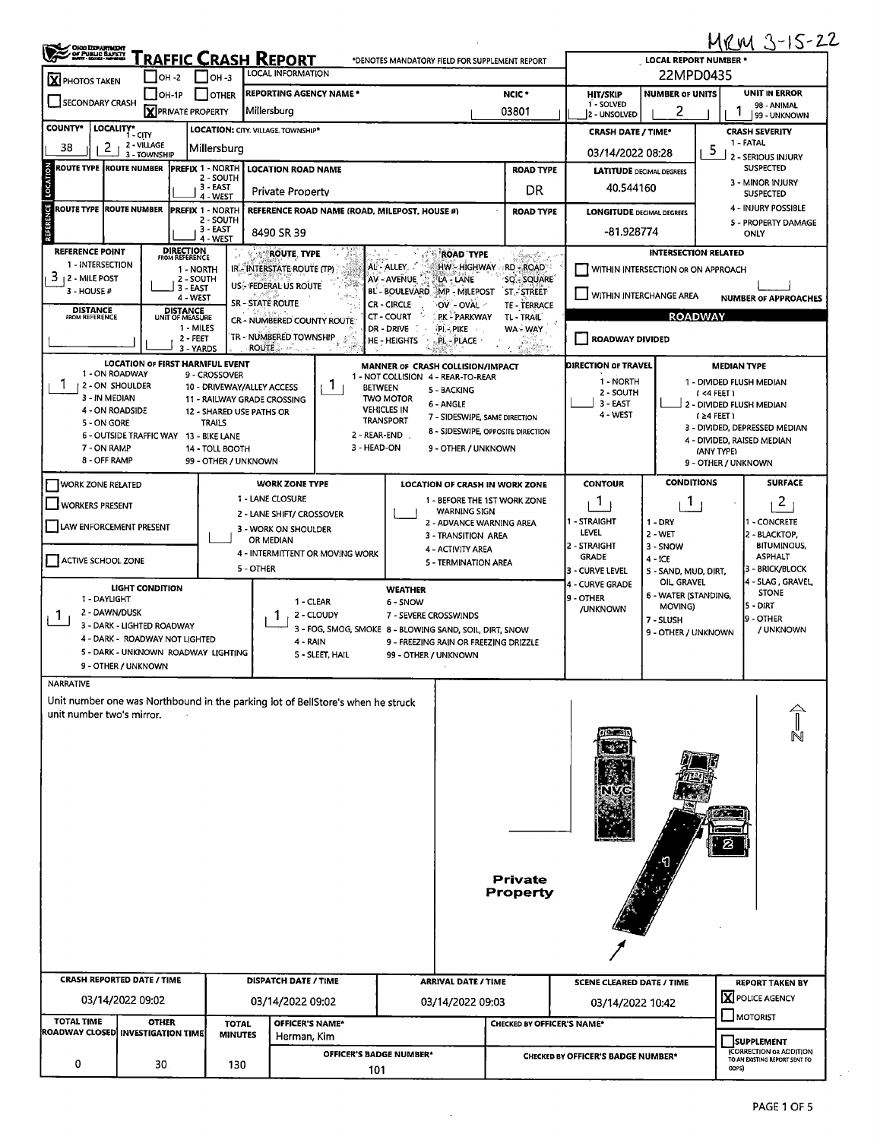| <b>OHIO DEPARTMENT</b><br>OF PUBLIC BAPETY                                                                                                            |                                                          |                                    |                                                           |                         |                                                                                 |                                                                        |                                            |                                            |                                           |                                           |                                          | MRM 3-15-22                                                                   |  |  |
|-------------------------------------------------------------------------------------------------------------------------------------------------------|----------------------------------------------------------|------------------------------------|-----------------------------------------------------------|-------------------------|---------------------------------------------------------------------------------|------------------------------------------------------------------------|--------------------------------------------|--------------------------------------------|-------------------------------------------|-------------------------------------------|------------------------------------------|-------------------------------------------------------------------------------|--|--|
|                                                                                                                                                       |                                                          | <b> </b> OH -2                     | Traffic Crash Report<br>$\mathsf{I}$ oh -3                |                         | <b>LOCAL INFORMATION</b>                                                        | *DENOTES MANDATORY FIELD FOR SUPPLEMENT REPORT                         |                                            |                                            |                                           | <b>LOCAL REPORT NUMBER '</b><br>22MPD0435 |                                          |                                                                               |  |  |
| <b>X</b> PHOTOS TAKEN                                                                                                                                 |                                                          | OH-1P                              | I I OTHER                                                 |                         | <b>REPORTING AGENCY NAME *</b>                                                  |                                                                        |                                            | NCIC <sup>+</sup>                          | <b>HIT/SKIP</b>                           | <b>NUMBER OF UNITS</b>                    |                                          | UNIT IN ERROR                                                                 |  |  |
| SECONDARY CRASH                                                                                                                                       |                                                          | <b>X</b> PRIVATE PROPERTY          |                                                           | Millersburg             |                                                                                 |                                                                        |                                            | 03801                                      | 1 - SOLVED<br>2 - UNSOLVED                | 2                                         |                                          | 98 - ANIMAL<br>99 - UNKNOWN                                                   |  |  |
| <b>COUNTY*</b>                                                                                                                                        | LOCALITY* CITY                                           |                                    | LOCATION: CITY. VILLAGE. TOWNSHIP*                        |                         |                                                                                 |                                                                        |                                            |                                            | <b>CRASH DATE / TIME*</b>                 |                                           |                                          | <b>CRASH SEVERITY</b>                                                         |  |  |
| 2<br>38                                                                                                                                               | 2 - VILLAGE<br>3 - TOWNSHIP                              |                                    | Millersburg                                               |                         |                                                                                 |                                                                        |                                            |                                            | 03/14/2022 08:28                          |                                           | 5                                        | 1 - FATAL<br>2 - SERIOUS INJURY                                               |  |  |
| LOCATION<br><b>ROUTE TYPE ROUTE NUMBER</b><br><b>PREFIX 1 - NORTH</b><br><b>LOCATION ROAD NAME</b><br>2 - SOUTH                                       |                                                          |                                    |                                                           |                         |                                                                                 |                                                                        |                                            | <b>ROAD TYPE</b>                           | <b>LATITUDE DECIMAL DEGREES</b>           |                                           |                                          | <b>SUSPECTED</b>                                                              |  |  |
| 3 - EAST<br><b>Private Property</b><br>4 - WEST                                                                                                       |                                                          |                                    |                                                           |                         |                                                                                 |                                                                        |                                            | DR                                         | 40.544160                                 |                                           |                                          | 3 - MINOR INJURY<br><b>SUSPECTED</b>                                          |  |  |
| <b>REFERENCE</b><br><b>ROUTE TYPE</b><br><b>ROUTE NUMBER</b><br><b>PREFIX 1 - NORTH</b><br>REFERENCE ROAD NAME (ROAD, MILEPOST, HOUSE #)<br>2 - SOUTH |                                                          |                                    |                                                           |                         |                                                                                 |                                                                        |                                            | <b>ROAD TYPE</b>                           | <b>LONGITUDE DECIMAL DEGREES</b>          |                                           |                                          | 4 - INJURY POSSIBLE                                                           |  |  |
|                                                                                                                                                       |                                                          |                                    | 3 - EAST<br>4 - WEST                                      |                         | 8490 SR 39                                                                      |                                                                        |                                            |                                            | -81.928774                                |                                           |                                          | 5 - PROPERTY DAMAGE<br>ONLY                                                   |  |  |
| <b>REFERENCE POINT</b>                                                                                                                                |                                                          | <b>DIRECTION</b><br>FROM REFERENCE |                                                           |                         | <b>ROUTE, TYPE</b>                                                              |                                                                        | <b>ROAD TYPE</b>                           | Santa Ca                                   |                                           | <b>INTERSECTION RELATED</b>               |                                          |                                                                               |  |  |
| 1 - INTERSECTION<br>3<br><b>12 - MILE POST</b>                                                                                                        |                                                          | 1 - NORTH<br>2 - SOUTH             |                                                           |                         | IR - INTERSTATE ROUTE (TP)                                                      | AL - ALLEY. .<br>AV - AVENUE                                           | LA - LANE                                  | HW - HIGHWAY RD - ROAD<br><b>SQ-SQUARE</b> |                                           | WITHIN INTERSECTION OR ON APPROACH        |                                          |                                                                               |  |  |
| 3 - HOUSE #                                                                                                                                           |                                                          | 3 - EAST<br>4 - WEST               |                                                           |                         | US-FEDERAL US ROUTE                                                             | BL - BOULEVARD MP - MILEPOST                                           |                                            | <b>ST.-STREET</b>                          | WITHIN INTERCHANGE AREA                   |                                           |                                          | <b>NUMBER OF APPROACHES</b>                                                   |  |  |
| <b>DISTANCE</b><br><b>FROM REFERENCE</b>                                                                                                              |                                                          | <b>DISTANCE</b><br>UNIT OF MEASURE |                                                           | <b>SR - STATE ROUTE</b> | CR - NUMBERED COUNTY ROUTE.                                                     | CR - CIRCLE<br><b>CT - COURT</b>                                       | OV - OVAL -<br>PK - PARKWAY                | <b>TE - TERRACE</b><br>TL-TRAIL            |                                           | <b>ROADWAY</b>                            |                                          |                                                                               |  |  |
|                                                                                                                                                       |                                                          | 1 MILES<br>2 - FEET                |                                                           |                         | TR - NUMBERED TOWNSHIP                                                          | DR - DRIVE<br>HE - HEIGHTS                                             | PI - PIKE<br>PL - PLACE -                  | WA - WAY                                   | ROADWAY DIVIDED                           |                                           |                                          |                                                                               |  |  |
|                                                                                                                                                       |                                                          | 3 - YARDS                          |                                                           | <b>ROUTE</b>            | $\mathcal{H}^{p'}$ , $\mathcal{H}$                                              |                                                                        |                                            | an an Saillean.<br>Tagairtí                |                                           |                                           |                                          |                                                                               |  |  |
|                                                                                                                                                       | <b>LOCATION OF FIRST HARMFUL EVENT</b><br>1 - ON ROADWAY |                                    | 9 - CROSSOVER                                             |                         |                                                                                 | MANNER OF CRASH COLLISION/IMPACT<br>1 - NOT COLLISION 4 - REAR-TO-REAR |                                            |                                            | DIRECTION OF TRAVEL                       |                                           | <b>MEDIAN TYPE</b>                       |                                                                               |  |  |
| 3 - IN MEDIAN                                                                                                                                         | 2 - ON SHOULDER                                          |                                    | 10 - DRIVEWAY/ALLEY ACCESS<br>11 - RAILWAY GRADE CROSSING |                         | 1.                                                                              | <b>BETWEEN</b><br><b>TWO MOTOR</b>                                     | 5 - BACKING                                |                                            | 1 - NORTH<br>2 - SOUTH                    |                                           | 1 - DIVIDED FLUSH MEDIAN<br>$($ <4 FEET) |                                                                               |  |  |
|                                                                                                                                                       | 4 - ON ROADSIDE                                          |                                    | 12 - SHARED USE PATHS OR                                  |                         |                                                                                 | <b>VEHICLES IN</b>                                                     | 6 - ANGLE<br>7 - SIDESWIPE, SAME DIRECTION |                                            | 3 - EAST<br>4 - WEST                      |                                           | 2 - DIVIDED FLUSH MEDIAN<br>$(24$ FEET)  |                                                                               |  |  |
| 5 - ON GORE                                                                                                                                           | 6 - OUTSIDE TRAFFIC WAY 13 - BIKE LANE                   |                                    | <b>TRAILS</b>                                             |                         |                                                                                 | <b>TRANSPORT</b><br>2 - REAR-END                                       |                                            | 8 - SIDESWIPE, OPPOSITE DIRECTION          |                                           |                                           |                                          | 3 - DIVIDED, DEPRESSED MEDIAN                                                 |  |  |
| 7 - ON RAMP                                                                                                                                           |                                                          |                                    | 14 - TOLL BOOTH                                           |                         |                                                                                 | 3 - HEAD-ON                                                            | 9 - OTHER / UNKNOWN                        |                                            |                                           |                                           | (ANY TYPE)                               | 4 - DIVIDED, RAISED MEDIAN                                                    |  |  |
| 8 - OFF RAMP                                                                                                                                          |                                                          |                                    | 99 - OTHER / UNKNOWN                                      |                         |                                                                                 |                                                                        |                                            |                                            |                                           |                                           | 9 - OTHER / UNKNOWN                      |                                                                               |  |  |
| <b>WORK ZONE RELATED</b>                                                                                                                              |                                                          |                                    |                                                           |                         | <b>WORK ZONE TYPE</b>                                                           |                                                                        |                                            | LOCATION OF CRASH IN WORK ZONE             | <b>CONTOUR</b>                            | <b>CONDITIONS</b>                         |                                          | <b>SURFACE</b>                                                                |  |  |
| WORKERS PRESENT                                                                                                                                       |                                                          |                                    |                                                           | 1 - LANE CLOSURE        | 2 - LANE SHIFT/ CROSSOVER                                                       |                                                                        | <b>WARNING SIGN</b>                        | 1 - BEFORE THE 1ST WORK ZONE               | 1                                         | Т.                                        |                                          | $\overline{c}$                                                                |  |  |
| LAW ENFORCEMENT PRESENT                                                                                                                               |                                                          |                                    |                                                           |                         | 3 - WORK ON SHOULDER                                                            |                                                                        | 2 - ADVANCE WARNING AREA                   |                                            | 1 - STRAIGHT<br>LEVEL                     | 1 - DRY                                   |                                          | - CONCRETE                                                                    |  |  |
|                                                                                                                                                       |                                                          |                                    |                                                           | OR MEDIAN               |                                                                                 |                                                                        | 3 - TRANSITION AREA<br>4 - ACTIVITY AREA   |                                            | 2 - STRAIGHT                              | 2 - WET<br>3 - SNOW                       |                                          | 2 - BLACKTOP,<br><b>BITUMINOUS,</b>                                           |  |  |
| ACTIVE SCHOOL ZONE                                                                                                                                    |                                                          |                                    |                                                           | 5 - OTHER               | 4 - INTERMITTENT OR MOVING WORK                                                 |                                                                        | 5 - TERMINATION AREA                       |                                            | <b>GRADE</b>                              | $4 - ICE$                                 |                                          | <b>ASPHALT</b><br>3 - BRICK/BLOCK                                             |  |  |
|                                                                                                                                                       | <b>LIGHT CONDITION</b>                                   |                                    |                                                           |                         |                                                                                 | <b>WEATHER</b>                                                         |                                            |                                            | 3 - CURVE LEVEL<br>4 - CURVE GRADE        | 5 - SAND, MUD, DIRT,<br>OIL GRAVEL        |                                          | 4 - SLAG, GRAVEL,                                                             |  |  |
| 1 - DAYLIGHT                                                                                                                                          |                                                          |                                    |                                                           |                         | 1 - CLEAR                                                                       | 6 - SNOW                                                               |                                            |                                            | 19 - OTHER                                | 6 - WATER (STANDING,<br><b>MOVING)</b>    |                                          | <b>STONE</b><br>5 - DIRT                                                      |  |  |
| 2 - DAWN/DUSK<br>1                                                                                                                                    | 3 - DARK - LIGHTED ROADWAY                               |                                    |                                                           |                         | 2 - CLOUDY                                                                      | 7 - SEVERE CROSSWINDS                                                  |                                            |                                            | /UNKNOWN                                  | 7 - SLUSH                                 |                                          | 9 - OTHER                                                                     |  |  |
|                                                                                                                                                       | 4 - DARK - ROADWAY NOT LIGHTED                           |                                    |                                                           |                         | 3 - FOG, SMOG, SMOKE 8 - BLOWING SAND, SOIL, DIRT, SNOW<br>4 - RAIN             |                                                                        |                                            | 9 - FREEZING RAIN OR FREEZING DRIZZLE      |                                           | 9 - OTHER / UNKNOWN                       |                                          | / UNKNOWN                                                                     |  |  |
|                                                                                                                                                       | 5 - DARK - UNKNOWN ROADWAY LIGHTING                      |                                    |                                                           |                         | 5 - SLEET, HAIL                                                                 | 99 - OTHER / UNKNOWN                                                   |                                            |                                            |                                           |                                           |                                          |                                                                               |  |  |
| <b>NARRATIVE</b>                                                                                                                                      | 9 - OTHER / UNKNOWN                                      |                                    |                                                           |                         |                                                                                 |                                                                        |                                            |                                            |                                           |                                           |                                          |                                                                               |  |  |
|                                                                                                                                                       |                                                          |                                    |                                                           |                         | Unit number one was Northbound in the parking lot of BellStore's when he struck |                                                                        |                                            |                                            |                                           |                                           |                                          |                                                                               |  |  |
| unit number two's mirror.                                                                                                                             |                                                          |                                    |                                                           |                         |                                                                                 |                                                                        |                                            |                                            |                                           |                                           |                                          |                                                                               |  |  |
|                                                                                                                                                       |                                                          |                                    |                                                           |                         |                                                                                 |                                                                        |                                            |                                            |                                           |                                           |                                          |                                                                               |  |  |
|                                                                                                                                                       |                                                          |                                    |                                                           |                         |                                                                                 |                                                                        |                                            |                                            |                                           |                                           |                                          |                                                                               |  |  |
|                                                                                                                                                       |                                                          |                                    |                                                           |                         |                                                                                 |                                                                        |                                            |                                            |                                           |                                           |                                          |                                                                               |  |  |
|                                                                                                                                                       |                                                          |                                    |                                                           |                         |                                                                                 |                                                                        |                                            |                                            |                                           |                                           |                                          |                                                                               |  |  |
|                                                                                                                                                       |                                                          |                                    |                                                           |                         |                                                                                 |                                                                        |                                            |                                            |                                           |                                           |                                          |                                                                               |  |  |
|                                                                                                                                                       |                                                          |                                    |                                                           |                         |                                                                                 |                                                                        |                                            |                                            |                                           |                                           |                                          |                                                                               |  |  |
|                                                                                                                                                       |                                                          |                                    |                                                           |                         |                                                                                 |                                                                        |                                            |                                            |                                           |                                           |                                          |                                                                               |  |  |
|                                                                                                                                                       |                                                          |                                    |                                                           |                         |                                                                                 |                                                                        |                                            |                                            |                                           |                                           |                                          |                                                                               |  |  |
|                                                                                                                                                       |                                                          |                                    |                                                           |                         |                                                                                 |                                                                        |                                            | <b>Private</b><br>Property                 |                                           |                                           |                                          |                                                                               |  |  |
|                                                                                                                                                       |                                                          |                                    |                                                           |                         |                                                                                 |                                                                        |                                            |                                            |                                           |                                           |                                          |                                                                               |  |  |
|                                                                                                                                                       |                                                          |                                    |                                                           |                         |                                                                                 |                                                                        |                                            |                                            |                                           |                                           |                                          |                                                                               |  |  |
|                                                                                                                                                       |                                                          |                                    |                                                           |                         |                                                                                 |                                                                        |                                            |                                            |                                           |                                           |                                          |                                                                               |  |  |
|                                                                                                                                                       |                                                          |                                    |                                                           |                         |                                                                                 |                                                                        |                                            |                                            |                                           |                                           |                                          |                                                                               |  |  |
| <b>CRASH REPORTED DATE / TIME</b>                                                                                                                     |                                                          |                                    |                                                           |                         | <b>DISPATCH DATE / TIME</b>                                                     |                                                                        | <b>ARRIVAL DATE / TIME</b>                 |                                            | <b>SCENE CLEARED DATE / TIME</b>          |                                           |                                          | <b>REPORT TAKEN BY</b>                                                        |  |  |
|                                                                                                                                                       | 03/14/2022 09:02                                         |                                    |                                                           |                         | 03/14/2022 09:02                                                                |                                                                        | 03/14/2022 09:03                           |                                            | 03/14/2022 10:42                          |                                           |                                          | X POLICE AGENCY                                                               |  |  |
| <b>TOTAL TIME</b>                                                                                                                                     |                                                          | <b>OTHER</b>                       | <b>TOTAL</b>                                              |                         | OFFICER'S NAME*                                                                 |                                                                        |                                            | <b>CHECKED BY OFFICER'S NAME*</b>          |                                           |                                           |                                          | <b>JMOTORIST</b>                                                              |  |  |
| ROADWAY CLOSED  INVESTIGATION TIME                                                                                                                    |                                                          |                                    | <b>MINUTES</b>                                            |                         | Herman, Kim                                                                     |                                                                        |                                            |                                            |                                           |                                           |                                          |                                                                               |  |  |
|                                                                                                                                                       |                                                          |                                    |                                                           |                         |                                                                                 | OFFICER'S BADGE NUMBER*                                                |                                            |                                            |                                           |                                           |                                          | <b>SUPPLEMENT</b><br>(CORRECTION OR ADDITION<br>TO AN EXISTING REPORT SENT TO |  |  |
| 0                                                                                                                                                     |                                                          | 30                                 | 130                                                       |                         |                                                                                 | 101                                                                    |                                            |                                            | <b>CHECKED BY OFFICER'S BADGE NUMBER*</b> |                                           | ODPS)                                    |                                                                               |  |  |

 $\mathcal{L}^{\pm}$ 

 $\mathbf{r}$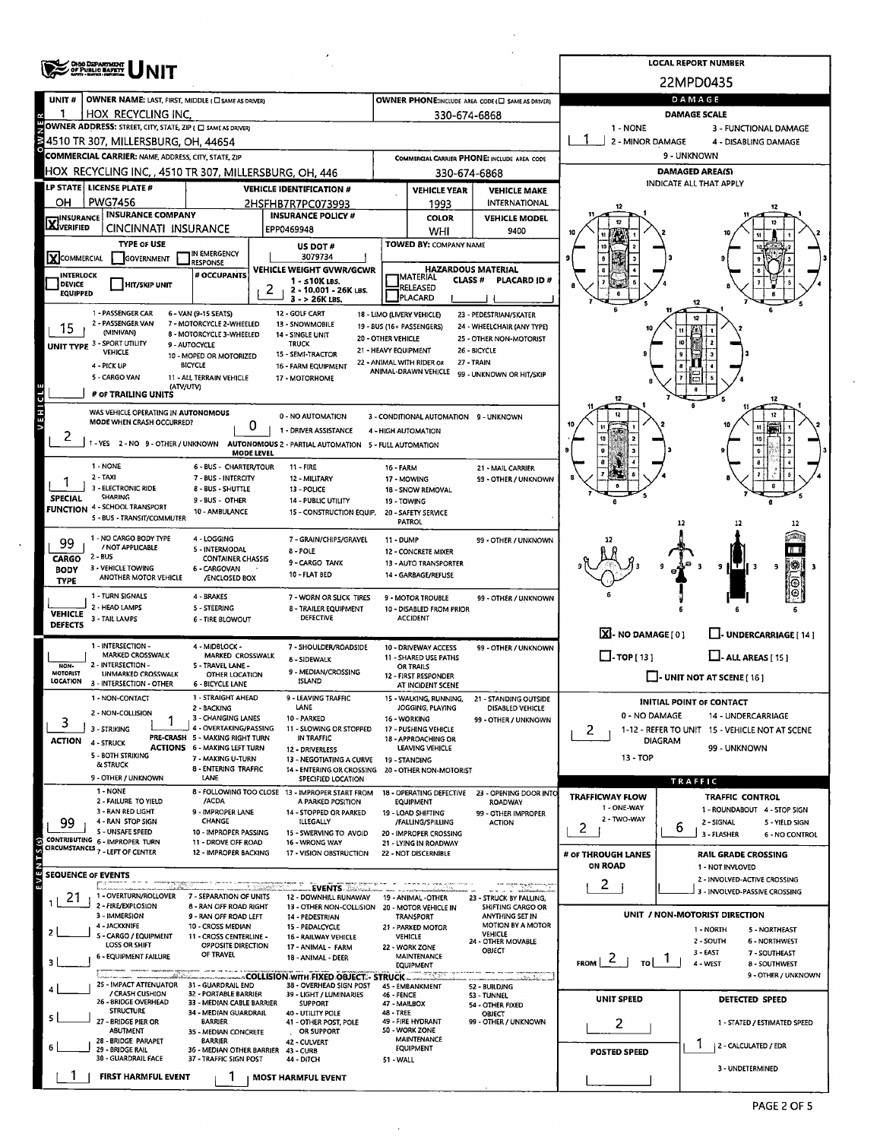|                                                                                                  | <b>OHIO DEPARTMENT</b><br>OF PUBLIC BAFETY                                    |                                                           |                                                                       |                                            |                                                               |                                                                   |                                                   | <b>LOCAL REPORT NUMBER</b>                                       |  |  |  |  |  |
|--------------------------------------------------------------------------------------------------|-------------------------------------------------------------------------------|-----------------------------------------------------------|-----------------------------------------------------------------------|--------------------------------------------|---------------------------------------------------------------|-------------------------------------------------------------------|---------------------------------------------------|------------------------------------------------------------------|--|--|--|--|--|
|                                                                                                  |                                                                               |                                                           |                                                                       |                                            |                                                               |                                                                   | 22MPD0435                                         |                                                                  |  |  |  |  |  |
| UNIT#                                                                                            | OWNER NAME: LAST, FIRST, MIDDLE ( C SAME AS DRIVER)                           |                                                           |                                                                       |                                            |                                                               | OWNER PHONE:INCLUDE AREA CODE (C) SAME AS DRIVER)                 | DAMAGE                                            |                                                                  |  |  |  |  |  |
|                                                                                                  | HOX RECYCLING INC.                                                            |                                                           |                                                                       |                                            | 330-674-6868                                                  |                                                                   | <b>DAMAGE SCALE</b>                               |                                                                  |  |  |  |  |  |
| OWNER ADDRESS: STREET, CITY, STATE, ZIP ( C SAME AS DRIVER)<br>1 - NONE<br>3 - FUNCTIONAL DAMAGE |                                                                               |                                                           |                                                                       |                                            |                                                               |                                                                   |                                                   |                                                                  |  |  |  |  |  |
|                                                                                                  | 4510 TR 307, MILLERSBURG, OH, 44654                                           |                                                           |                                                                       | 2 - MINOR DAMAGE                           | 4 - DISABLING DAMAGE                                          |                                                                   |                                                   |                                                                  |  |  |  |  |  |
|                                                                                                  | <b>COMMERCIAL CARRIER: NAME, ADDRESS, CITY, STATE, ZIP</b>                    |                                                           |                                                                       |                                            |                                                               | COMMERCIAL CARRIER PHONE: INCLUDE AREA CODE                       |                                                   | 9 - UNKNOWN                                                      |  |  |  |  |  |
|                                                                                                  | HOX RECYCLING INC, , 4510 TR 307, MILLERSBURG, OH, 446                        |                                                           |                                                                       |                                            | 330-674-6868                                                  |                                                                   | <b>DAMAGED AREA(S)</b><br>INDICATE ALL THAT APPLY |                                                                  |  |  |  |  |  |
| OH                                                                                               | LP STATE LICENSE PLATE #<br><b>PWG7456</b>                                    |                                                           | <b>VEHICLE IDENTIFICATION #</b>                                       |                                            | <b>VEHICLE YEAR</b>                                           | <b>VEHICLE MAKE</b><br>INTERNATIONAL                              |                                                   |                                                                  |  |  |  |  |  |
|                                                                                                  | <b>INSURANCE COMPANY</b>                                                      |                                                           | 2HSFHB7R7PC073993<br><b>INSURANCE POLICY #</b>                        |                                            | 1993<br><b>COLOR</b>                                          | <b>VEHICLE MODEL</b>                                              |                                                   |                                                                  |  |  |  |  |  |
| <b>X</b> INSURANCE                                                                               | CINCINNATI INSURANCE                                                          |                                                           | EPP0469948                                                            |                                            | WHI                                                           | 9400                                                              |                                                   |                                                                  |  |  |  |  |  |
|                                                                                                  | <b>TYPE OF USE</b>                                                            |                                                           | US DOT#                                                               |                                            | TOWED BY: COMPANY NAME                                        |                                                                   |                                                   |                                                                  |  |  |  |  |  |
| XCOMMERCIAL                                                                                      | <b>GOVERNMENT</b>                                                             | IN EMERGENCY<br><b>RESPONSE</b>                           | 3079734                                                               |                                            |                                                               |                                                                   |                                                   |                                                                  |  |  |  |  |  |
| <b>INTERLOCK</b><br>DEVICE                                                                       | <b>HIT/SKIP UNIT</b>                                                          | # OCCUPANTS                                               | <b>VEHICLE WEIGHT GVWR/GCWR</b><br>1 - s10K LBS.                      |                                            | <b>HAZARDOUS MATERIAL</b><br><b>MATERIAL</b><br><b>CLASS#</b> | <b>PLACARD ID#</b>                                                |                                                   |                                                                  |  |  |  |  |  |
| <b>EQUIPPED</b>                                                                                  |                                                                               |                                                           | 2<br>2 - 10.001 - 26K LBS.<br>$3 - 26K$ LBS.                          |                                            | RELEASED<br>PLACARD                                           |                                                                   |                                                   |                                                                  |  |  |  |  |  |
|                                                                                                  | 1 - PASSENGER CAR                                                             | 6 - VAN (9-15 SEATS)                                      | 12 - GOLF CART                                                        | 18 - LIMO (LIVERY VEHICLE)                 |                                                               | 23 - PEDESTRIAN/SKATER                                            |                                                   | 12                                                               |  |  |  |  |  |
| 15                                                                                               | 2 - PASSENGER VAN<br>(MINIVAN)                                                | 7 - MOTORCYCLE 2-WHEELED<br>8 - MOTORCYCLE 3-WHEELED      | 13 - SNOWMOBILE<br>14 - SINGLE UNIT                                   |                                            | 19 - BUS (16+ PASSENGERS)                                     | 24 - WHEELCHAIR (ANY TYPE)                                        |                                                   |                                                                  |  |  |  |  |  |
|                                                                                                  | UNIT TYPE 3 - SPORT UTILITY                                                   | 9 - AUTOCYCLE                                             | <b>TRUCK</b>                                                          | 20 - OTHER VEHICLE<br>21 - HEAVY EQUIPMENT |                                                               | 25 - OTHER NON-MOTORIST<br>26 - BICYCLE                           |                                                   |                                                                  |  |  |  |  |  |
|                                                                                                  | <b>VEHICLE</b><br>4 - PICK UP                                                 | 10 - MOPED OR MOTORIZED<br><b>BICYCLE</b>                 | 15 - SEMI-TRACTOR<br>16 - FARM EQUIPMENT                              |                                            | 22 - ANIMAL WITH RIDER OR                                     | 27 - TRAIN                                                        |                                                   |                                                                  |  |  |  |  |  |
|                                                                                                  | 5 - CARGO VAN                                                                 | 11 - ALL TERRAIN VEHICLE                                  | 17 - MOTORHOME                                                        |                                            | ANIMAL-DRAWN VEHICLE                                          | 99 - UNKNOWN OR HIT/SKIP                                          |                                                   |                                                                  |  |  |  |  |  |
|                                                                                                  | (ATV/UTV)<br># OF TRAILING UNITS                                              |                                                           |                                                                       |                                            |                                                               |                                                                   | 12                                                | 12                                                               |  |  |  |  |  |
|                                                                                                  | WAS VEHICLE OPERATING IN AUTONOMOUS                                           |                                                           |                                                                       |                                            |                                                               |                                                                   |                                                   |                                                                  |  |  |  |  |  |
|                                                                                                  | MODE WHEN CRASH OCCURRED?                                                     |                                                           | 0 - NO AUTOMATION<br>0<br>1 - DRIVER ASSISTANCE                       | 4 - HIGH AUTOMATION                        | 3 - CONDITIONAL AUTOMATION 9 - UNKNOWN                        |                                                                   |                                                   |                                                                  |  |  |  |  |  |
| 2                                                                                                | 1 - YES 2 - NO 9 - OTHER / UNKNOWN                                            |                                                           | AUTONOMOUS 2 - PARTIAL AUTOMATION 5 - FULL AUTOMATION                 |                                            |                                                               |                                                                   |                                                   | 10                                                               |  |  |  |  |  |
|                                                                                                  |                                                                               |                                                           | <b>MODE LEVEL</b>                                                     |                                            |                                                               |                                                                   |                                                   | $\theta$                                                         |  |  |  |  |  |
|                                                                                                  | 1 - NONE<br>$2 - TAXI$                                                        | 6 - BUS - CHARTER/TOUR<br>7 - BUS - INTERCITY             | $11 - FIRE$<br>12 - MILITARY                                          | <b>16 - FARM</b>                           | 17 - MOWING                                                   | 21 - MAIL CARRIER<br>99 - OTHER / UNKNOWN                         |                                                   |                                                                  |  |  |  |  |  |
|                                                                                                  | 3 - ELECTRONIC RIDE<br><b>SHARING</b>                                         | 8 - BUS - SHUTTLE                                         | 13 - POLICE                                                           |                                            | 18 - SNOW REMOVAL                                             |                                                                   |                                                   |                                                                  |  |  |  |  |  |
| <b>SPECIAL</b>                                                                                   | <b>FUNCTION 4 - SCHOOL TRANSPORT</b>                                          | 9 - BUS - OTHER<br>10 - AMBULANCE                         | 14 - PUBLIC UTILITY<br>15 - CONSTRUCTION EQUIP.                       | 19 - TOWING                                | 20 - SAFETY SERVICE                                           |                                                                   |                                                   |                                                                  |  |  |  |  |  |
|                                                                                                  | 5 - BUS - TRANSIT/COMMUTER                                                    |                                                           |                                                                       |                                            | <b>PATROL</b>                                                 |                                                                   |                                                   | 12                                                               |  |  |  |  |  |
| 99                                                                                               | 1 - NO CARGO BODY TYPE                                                        | 4 - LOGGING                                               | 7 - GRAIN/CHIPS/GRAVEL                                                | $11 - DUMP$                                |                                                               | 99 - OTHER / UNKNOWN                                              |                                                   |                                                                  |  |  |  |  |  |
| <b>CARGO</b>                                                                                     | / NOT APPLICABLE<br>2 - BUS                                                   | 5 - INTERMODAL<br><b>CONTAINER CHASSIS</b>                | 8 - POLE                                                              |                                            | 12 - CONCRETE MIXER                                           |                                                                   |                                                   |                                                                  |  |  |  |  |  |
| <b>BODY</b>                                                                                      | 3 - VEHICLE TOWING<br>ANOTHER MOTOR VEHICLE                                   | 6 - CARGOVAN<br>/ENCLOSED BOX                             | 9 - CARGO TANK<br>10 - FLAT BED                                       |                                            | 13 - AUTO TRANSPORTER<br>14 - GARBAGE/REFUSE                  |                                                                   |                                                   | IS.<br>9<br>l T II<br>- 3<br>9                                   |  |  |  |  |  |
| <b>TYPE</b>                                                                                      |                                                                               |                                                           |                                                                       |                                            |                                                               |                                                                   |                                                   | O                                                                |  |  |  |  |  |
|                                                                                                  | 1 - TURN SIGNALS<br>2 - HEAD LAMPS                                            | 4 - BRAKES<br>5 - STEERING                                | 7 - WORN OR SLICK TIRES<br>8 - TRAILER EQUIPMENT                      |                                            | 9 - MOTOR TROUBLE<br>10 - DISABLED FROM PRIOR                 | 99 - OTHER / UNKNOWN                                              |                                                   |                                                                  |  |  |  |  |  |
| <b>VEHICLE</b><br>DEFECTS                                                                        | 3 - TAIL LAMPS                                                                | <b>6 - TIRE BLOWOUT</b>                                   | <b>DEFECTIVE</b>                                                      |                                            | <b>ACCIDENT</b>                                               |                                                                   |                                                   |                                                                  |  |  |  |  |  |
|                                                                                                  |                                                                               |                                                           |                                                                       |                                            |                                                               |                                                                   | $X - NO$ DAMAGE [ 0 ]                             | U- UNDERCARRIAGE [ 14 ]                                          |  |  |  |  |  |
|                                                                                                  | 1 - INTERSECTION -<br><b>MARKED CROSSWALK</b>                                 | 4 - MIDBLOCK -<br>MARKED CROSSWALK                        | 7 - SHOULDER/ROADSIDE<br>8 - SIDEWALK                                 |                                            | 10 - DRIVEWAY ACCESS<br>11 - SHARED USE PATHS                 | 99 - OTHER / UNKNOWN                                              | $\Box$ -TOP [13]                                  | $\Box$ - ALL AREAS [ 15 ]                                        |  |  |  |  |  |
| NON.<br>MOTORIST                                                                                 | 2 - INTERSECTION -<br><b>UNMARKED CROSSWALK</b>                               | 5 - TRAVEL LANE -<br>OTHER LOCATION                       | 9 - MEDIAN/CROSSING                                                   |                                            | OR TRAILS<br>12 - FIRST RESPONDER                             |                                                                   |                                                   |                                                                  |  |  |  |  |  |
| LOCATION                                                                                         | 3 - INTERSECTION - OTHER                                                      | <b>6 - BICYCLE LANE</b>                                   | ISLAND                                                                |                                            | AT INCIDENT SCENE                                             |                                                                   |                                                   | $\Box$ - UNIT NOT AT SCENE [ 16 ]                                |  |  |  |  |  |
|                                                                                                  | 1 - NON-CONTACT                                                               | 1 - STRAIGHT AHEAD<br>2 - BACKING                         | 9 - LEAVING TRAFFIC<br>LANE                                           |                                            | 15 - WALKING, RUNNING,<br>JOGGING, PLAYING                    | 21 - STANDING OUTSIDE<br><b>DISABLED VEHICLE</b>                  |                                                   | <b>INITIAL POINT OF CONTACT</b>                                  |  |  |  |  |  |
| 3                                                                                                | 2 - NON-COLLISION                                                             | 3 - CHANGING LANES                                        | 10 - PARKED                                                           |                                            | 16 - WORKING                                                  | 99 - OTHER / UNKNOWN                                              | 0 - NO DAMAGE                                     | 14 - UNDERCARRIAGE                                               |  |  |  |  |  |
| <b>ACTION</b>                                                                                    | 3 - STRIKING                                                                  | 4 - OVERTAKING/PASSING<br>PRE-CRASH 5 - MAKING RIGHT TURN | 11 - SLOWING OR STOPPED<br>IN TRAFFIC                                 |                                            | 17 - PUSHING VEHICLE<br>18 - APPROACHING OR                   |                                                                   | 2.                                                | 1-12 - REFER TO UNIT 15 - VEHICLE NOT AT SCENE<br><b>DIAGRAM</b> |  |  |  |  |  |
|                                                                                                  | <b>4 - STRUCK</b><br>5 - BOTH STRIKING                                        | <b>ACTIONS 6 - MAKING LEFT TURN</b>                       | 12 - DRIVERLESS                                                       |                                            | LEAVING VEHICLE                                               |                                                                   | 99 - UNKNOWN<br>13 - TOP                          |                                                                  |  |  |  |  |  |
|                                                                                                  | <b>&amp; STRUCK</b>                                                           | 7 - MAKING U-TURN<br>8 - ENTERING TRAFFIC                 | 13 - NEGOTIATING A CURVE<br>14 - ENTERING OR CROSSING                 |                                            | 19 - STANDING<br>20 - OTHER NON-MOTORIST                      |                                                                   |                                                   |                                                                  |  |  |  |  |  |
|                                                                                                  | 9 - OTHER / UNKNOWN                                                           | LANE                                                      | SPECIFIED LOCATION                                                    |                                            |                                                               |                                                                   |                                                   | TRAFFIC                                                          |  |  |  |  |  |
|                                                                                                  | 1 - NONE<br>2 - FAILURE TO YIELD                                              | /ACDA                                                     | 8 - FOLLOWING TOO CLOSE 13 - IMPROPER START FROM<br>A PARKED POSITION |                                            | <b>EQUIPMENT</b>                                              | 18 - OPERATING DEFECTIVE 23 - OPENING DOOR INTO<br><b>ROADWAY</b> | <b>TRAFFICWAY FLOW</b><br>1 - ONE-WAY             | TRAFFIC CONTROL                                                  |  |  |  |  |  |
| 99                                                                                               | 3 - RAN RED LIGHT<br>4 - RAN STOP SIGN                                        | 9 - IMPROPER LANE<br>CHANGE                               | 14 - STOPPED OR PARKED<br>ILLEGALLY                                   |                                            | 19 - LOAD SHIFTING<br>/FALLING/SPILLING                       | 99 - OTHER IMPROPER<br><b>ACTION</b>                              | 2 - TWO-WAY                                       | 1 - ROUNDABOUT 4 - STOP SIGN<br>2 - SIGNAL<br>5 - YIELD SIGN     |  |  |  |  |  |
|                                                                                                  | 5 - UNSAFE SPEED                                                              | 10 - IMPROPER PASSING                                     | 15 - SWERVING TO AVOID                                                |                                            | 20 - IMPROPER CROSSING                                        |                                                                   | $\overline{c}$                                    | 6<br>3 - FLASHER<br>6 - NO CONTROL                               |  |  |  |  |  |
|                                                                                                  | CONTRIBUTING 6 - IMPROPER TURN<br>CIRCUMSTANCES <sub>7</sub> - LEFT OF CENTER | 11 - DROVE OFF ROAD<br>12 - IMPROPER BACKING              | 16 - WRONG WAY<br>17 - VISION OBSTRUCTION                             |                                            | 21 - LYING IN ROADWAY<br>22 - NOT DISCERNIBLE                 |                                                                   | # OF THROUGH LANES                                | <b>RAIL GRADE CROSSING</b>                                       |  |  |  |  |  |
|                                                                                                  |                                                                               |                                                           |                                                                       |                                            |                                                               |                                                                   | ON ROAD                                           | 1 - NOT INVLOVED                                                 |  |  |  |  |  |
| <b>SEQUENCE OF EVENTS</b>                                                                        |                                                                               |                                                           | <b>EVENTS</b><br>3. Millioner                                         |                                            |                                                               |                                                                   | 2                                                 | 2 - INVOLVED-ACTIVE CROSSING                                     |  |  |  |  |  |
| 21                                                                                               | 1 - OVERTURN/ROLLOVER                                                         | 7 - SEPARATION OF UNITS                                   | 12 - DOWNHILL RUNAWAY                                                 |                                            | 19 - ANIMAL -OTHER                                            | 23 - STRUCK BY FALLING,                                           |                                                   | 3 - INVOLVED-PASSIVE CROSSING                                    |  |  |  |  |  |
|                                                                                                  | 2 - FIRE/EXPLOSION<br>3 - IMMERSION                                           | 8 - RAN OFF ROAD RIGHT<br>9 - RAN OFF ROAD LEFT           | 13 - OTHER NON-COLLISION 20 - MOTOR VEHICLE IN<br>14 - PEDESTRIAN     |                                            | <b>TRANSPORT</b>                                              | SHIFTING CARGO OR<br>ANYTHING SET IN                              |                                                   | UNIT / NON-MOTORIST DIRECTION                                    |  |  |  |  |  |
|                                                                                                  | 4 - JACKKNIFE<br>5 - CARGO / EQUIPMENT                                        | 10 - CROSS MEDIAN<br>11 - CROSS CENTERLINE -              | 15 - PEDALCYCLE                                                       |                                            | 21 - PARKED MOTOR<br><b>VEHICLE</b>                           | MOTION BY A MOTOR<br>VEHICLE                                      |                                                   | 1 - NORTH<br>5 - NORTHEAST                                       |  |  |  |  |  |
|                                                                                                  | LOSS OR SHIFT                                                                 | OPPOSITE DIRECTION                                        | 16 - RAILWAY VEHICLE<br>17 - ANIMAL - FARM                            |                                            | 22 - WORK ZONE                                                | 24 - OTHER MOVABLE<br>OBJECT                                      |                                                   | 2 - SOUTH<br><b>6 - NORTHWEST</b>                                |  |  |  |  |  |
|                                                                                                  | <b>6 - EQUIPMENT FAILURE</b>                                                  | OF TRAVEL                                                 | 18 - ANIMAL - DEER                                                    |                                            | <b>MAINTENANCE</b><br><b>EQUIPMENT</b>                        |                                                                   | $F_{\text{ROM}}$ 2<br>TO                          | 3 - EAST<br>7 - SOUTHEAST<br>4 - WEST<br>8 - SOUTHWEST           |  |  |  |  |  |
|                                                                                                  | ستطار والكال                                                                  |                                                           | ACOLLISION WITH FIXED OBJECT - STRUCK                                 |                                            | -కాషిక్రమ                                                     | an de la                                                          |                                                   | 9 - OTHER / UNKNOWN                                              |  |  |  |  |  |
|                                                                                                  | 25 - IMPACT ATTENUATOR 31 - GUARDRAIL END<br>/ CRASH CUSHION                  | 32 - PORTABLE BARRIER                                     | 38 - OVERHEAD SIGN POST<br>39 - LIGHT / LUMINARIES                    | 46 - FENCE                                 | 45 - EMBANKMENT                                               | 52 - BUILDING<br>53 - TUNNEL                                      | UNIT SPEED                                        | DETECTED SPEED                                                   |  |  |  |  |  |
|                                                                                                  | 26 - BRIDGE OVERHEAD<br><b>STRUCTURE</b>                                      | 33 - MEDIAN CABLE BARRIER<br>34 - MEDIAN GUARDRAIL        | <b>SUPPORT</b><br>40 - UTILITY POLE                                   | 47 - MAILBOX<br><b>48 - TREE</b>           |                                                               | 54 - OTHER FIXED<br>OBJECT                                        |                                                   |                                                                  |  |  |  |  |  |
|                                                                                                  | 27 - BRIDGE PIER OR<br><b>ABUTMENT</b>                                        | <b>BARRIER</b><br>35 - MEDIAN CONCRETE                    | 41 - OTHER POST, POLE<br>OR SUPPORT                                   |                                            | 49 - FIRE HYDRANT<br>50 - WORK ZONE                           | 99 - OTHER / UNKNOWN                                              | 2                                                 | 1 - STATED / ESTIMATED SPEED                                     |  |  |  |  |  |
|                                                                                                  | 28 - BRIDGE PARAPET<br>29 - BRIDGE RAIL                                       | <b>BARRIER</b>                                            | 42 - CULVERT                                                          |                                            | <b>MAINTENANCE</b><br><b>EQUIPMENT</b>                        |                                                                   |                                                   | ٦<br>2 - CALCULATED / EDR                                        |  |  |  |  |  |
|                                                                                                  | 30 - GUARDRAIL FACE                                                           | 36 - MEDIAN OTHER BARRIER<br>37 - TRAFFIC SIGN POST       | 43 - CURB<br>44 - DITCH                                               | 51 - WALL                                  |                                                               |                                                                   | <b>POSTED SPEED</b>                               |                                                                  |  |  |  |  |  |
|                                                                                                  | <b>FIRST HARMFUL EVENT</b>                                                    |                                                           | <b>MOST HARMFUL EVENT</b>                                             |                                            |                                                               |                                                                   |                                                   | 3 - UNDETERMINED                                                 |  |  |  |  |  |
|                                                                                                  |                                                                               |                                                           |                                                                       |                                            |                                                               |                                                                   |                                                   |                                                                  |  |  |  |  |  |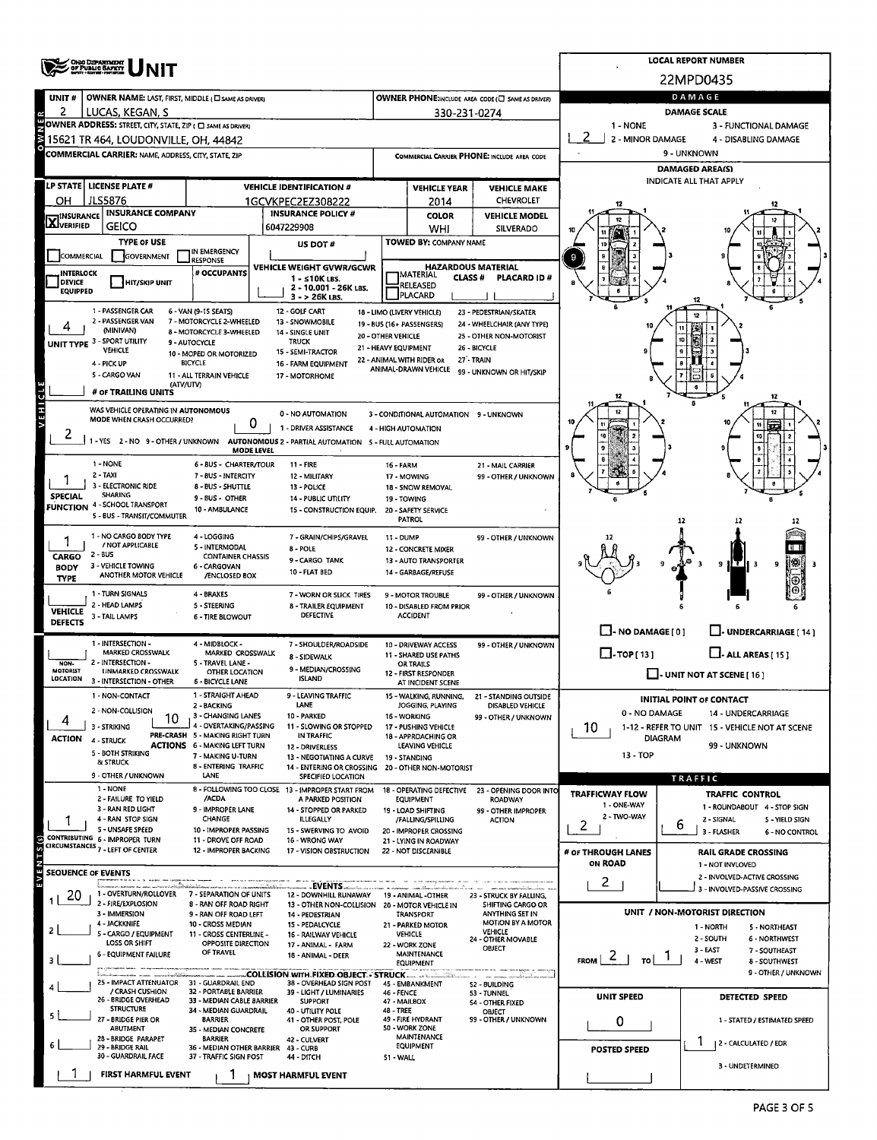|                                                                                                                                                                          | <b>OHO DEPARTMENT</b>                                                                                               |                                                               | <b>LOCAL REPORT NUMBER</b>      |                                                                        |                                            |                                                   |                                                       |                                                                 |               |                                                         |  |  |  |  |
|--------------------------------------------------------------------------------------------------------------------------------------------------------------------------|---------------------------------------------------------------------------------------------------------------------|---------------------------------------------------------------|---------------------------------|------------------------------------------------------------------------|--------------------------------------------|---------------------------------------------------|-------------------------------------------------------|-----------------------------------------------------------------|---------------|---------------------------------------------------------|--|--|--|--|
|                                                                                                                                                                          |                                                                                                                     |                                                               | 22MPD0435                       |                                                                        |                                            |                                                   |                                                       |                                                                 |               |                                                         |  |  |  |  |
| UNIT#                                                                                                                                                                    | OWNER NAME: LAST, FIRST, MIDDLE ( CI SAME AS DRIVER)                                                                |                                                               |                                 | OWNER PHONE:INCLUDE AREA CODE (C) SAME AS DRIVER)                      | <b>DAMAGE</b>                              |                                                   |                                                       |                                                                 |               |                                                         |  |  |  |  |
| 2                                                                                                                                                                        | LUCAS, KEGAN, S                                                                                                     |                                                               | 330-231-0274                    | <b>DAMAGE SCALE</b><br>1 - NONE                                        |                                            |                                                   |                                                       |                                                                 |               |                                                         |  |  |  |  |
| OWNER ADDRESS: STREET, CITY, STATE, ZIP ( O SAME AS DRIVER)<br>3 - FUNCTIONAL DAMAGE<br>2 - MINOR DAMAGE<br>15621 TR 464, LOUDONVILLE, OH, 44842<br>4 - DISABLING DAMAGE |                                                                                                                     |                                                               |                                 |                                                                        |                                            |                                                   |                                                       |                                                                 |               |                                                         |  |  |  |  |
|                                                                                                                                                                          | COMMERCIAL CARRIER: NAME, ADDRESS, CITY, STATE, ZIP                                                                 |                                                               |                                 |                                                                        |                                            |                                                   | COMMERCIAL CARRIER PHONE: INCLUDE AREA CODE           | 9 - UNKNOWN                                                     |               |                                                         |  |  |  |  |
|                                                                                                                                                                          |                                                                                                                     |                                                               |                                 |                                                                        |                                            |                                                   |                                                       |                                                                 |               | <b>DAMAGED AREA(S)</b>                                  |  |  |  |  |
|                                                                                                                                                                          | LP STATE LICENSE PLATE #                                                                                            |                                                               | <b>VEHICLE IDENTIFICATION #</b> |                                                                        | <b>VEHICLE YEAR</b><br><b>VEHICLE MAKE</b> |                                                   |                                                       | <b>INDICATE ALL THAT APPLY</b>                                  |               |                                                         |  |  |  |  |
| он                                                                                                                                                                       | <b>JLS5876</b>                                                                                                      |                                                               | 1GCVKPEC2EZ308222               |                                                                        | <b>CHEVROLET</b><br>2014                   |                                                   |                                                       |                                                                 |               |                                                         |  |  |  |  |
| <b>X</b> INSURANCE                                                                                                                                                       | <b>INSURANCE COMPANY</b>                                                                                            |                                                               |                                 | <b>INSURANCE POLICY #</b>                                              |                                            | <b>COLOR</b>                                      | <b>VEHICLE MODEL</b>                                  |                                                                 |               |                                                         |  |  |  |  |
|                                                                                                                                                                          | <b>GEICO</b>                                                                                                        |                                                               | 6047229908                      |                                                                        |                                            | <b>WHI</b>                                        | SILVERADO                                             |                                                                 |               |                                                         |  |  |  |  |
| COMMERCIAL                                                                                                                                                               | <b>TYPE OF USE</b>                                                                                                  | IN EMERGENCY                                                  |                                 | US DOT #                                                               |                                            | TOWED BY: COMPANY NAME                            |                                                       |                                                                 |               |                                                         |  |  |  |  |
|                                                                                                                                                                          | GOVERNMENT                                                                                                          | <b>RESPONSE</b><br># OCCUPANTS                                |                                 | VEHICLE WEIGHT GVWR/GCWR                                               |                                            |                                                   | <b>HAZARDOUS MATERIAL</b>                             | 9                                                               |               |                                                         |  |  |  |  |
| <b>INTERLOCK</b><br><b>DEVICE</b>                                                                                                                                        | <b>HIT/SKIP UNIT</b>                                                                                                |                                                               |                                 | 1 - ≤10K LBS.<br>2 - 10.001 - 26K LBS.                                 |                                            | <b>IMATERIAL</b><br><b>CLASS#</b><br>RELEASED     | PLACARD ID#                                           |                                                                 |               |                                                         |  |  |  |  |
| <b>EQUIPPED</b>                                                                                                                                                          |                                                                                                                     |                                                               |                                 | 3 - > 26K LBS.                                                         |                                            | <b>PLACARD</b>                                    |                                                       |                                                                 |               |                                                         |  |  |  |  |
|                                                                                                                                                                          | 1 - PASSENGER CAR<br>2 - PASSENGER VAN                                                                              | 6 - VAN (9-15 SEATS)<br>7 - MOTORCYCLE 2-WHEELED              | 12 - GOLF CART                  | 13 - SNOWMOBILE                                                        |                                            | 18 - LIMO (LIVERY VEHICLE)                        | 23 - PEDESTRIAN/SKATER                                |                                                                 |               |                                                         |  |  |  |  |
|                                                                                                                                                                          | (MINIVAN)                                                                                                           | 8 - MOTORCYCLE 3-WHEELED                                      |                                 | 14 - SINGLE UNIT                                                       | 20 - OTHER VEHICLE                         | 19 - BUS (16+ PASSENGERS)                         | 24 - WHEELCHAIR (ANY TYPE)<br>25 - OTHER NON-MOTORIST |                                                                 |               |                                                         |  |  |  |  |
|                                                                                                                                                                          | UNIT TYPE 3 - SPORT UTILITY<br><b>VEHICLE</b>                                                                       | 9 - AUTOCYCLE<br>10 - MOPED OR MOTORIZED                      | <b>TRUCK</b>                    | 15 - SEMI-TRACTOR                                                      | 21 - HEAVY EQUIPMENT                       |                                                   | 26 - BICYCLE                                          |                                                                 |               |                                                         |  |  |  |  |
|                                                                                                                                                                          | 4 - PICK UP                                                                                                         | <b>BICYCLE</b>                                                |                                 | 16 - FARM EQUIPMENT                                                    |                                            | 22 - ANIMAL WITH RIDER OR<br>ANIMAL-DRAWN VEHICLE | 27 - TRAIN                                            |                                                                 |               |                                                         |  |  |  |  |
|                                                                                                                                                                          | 5 - CARGO VAN<br>(ATV/UTV)                                                                                          | 11 - ALL TERRAIN VEHICLE                                      |                                 | 17 - MOTORHOME                                                         |                                            |                                                   | 99 - UNKNOWN OR HIT/SKIP                              |                                                                 |               |                                                         |  |  |  |  |
|                                                                                                                                                                          | # or TRAILING UNITS                                                                                                 |                                                               |                                 |                                                                        |                                            |                                                   |                                                       |                                                                 |               | 12                                                      |  |  |  |  |
| <b>ALEHICL</b>                                                                                                                                                           | WAS VEHICLE OPERATING IN AUTONOMOUS<br>MODE WHEN CRASH OCCURRED?                                                    |                                                               |                                 | 0 - NO AUTOMATION                                                      |                                            | 3 - CONDITIONAL AUTOMATION 9 - UNKNOWN            |                                                       |                                                                 |               |                                                         |  |  |  |  |
|                                                                                                                                                                          |                                                                                                                     |                                                               | 0                               | 1 - DRIVER ASSISTANCE                                                  |                                            | 4 - HIGH AUTOMATION                               |                                                       |                                                                 |               |                                                         |  |  |  |  |
|                                                                                                                                                                          | -YES 2 - NO 9 - OTHER / UNKNOWN AUTONOMOUS 2 - PARTIAL AUTOMATION 5 - FULL AUTOMATION                               |                                                               | MODE LEVEL                      |                                                                        |                                            |                                                   |                                                       |                                                                 |               |                                                         |  |  |  |  |
|                                                                                                                                                                          | 1 - NONE                                                                                                            | 6 - BUS - CHARTER/TOUR                                        |                                 | 11 - FIRE                                                              | <b>16 - FARM</b>                           |                                                   | 21 - MAIL CARRIER                                     |                                                                 |               |                                                         |  |  |  |  |
|                                                                                                                                                                          | 2 - TAXI                                                                                                            | 7 - BUS - INTERCITY                                           |                                 | 12 - MILITARY                                                          |                                            | 17 - MOWING                                       | 99 - OTHER / UNKNOWN                                  |                                                                 |               |                                                         |  |  |  |  |
| <b>SPECIAL</b>                                                                                                                                                           | 3 - ELECTRONIC RIDE<br>8 - BUS - SHUTTLE<br>13 - POLICE<br><b>SHARING</b><br>9 - BUS - OTHER<br>14 - PUBLIC UTILITY |                                                               |                                 |                                                                        | 19 TOWING                                  | 18 - SNOW REMOVAL                                 |                                                       |                                                                 |               |                                                         |  |  |  |  |
|                                                                                                                                                                          | <b>FUNCTION 4 - SCHOOL TRANSPORT</b>                                                                                | 15 - CONSTRUCTION EQUIP.                                      |                                 | 20 - SAFETY SERVICE                                                    |                                            |                                                   |                                                       |                                                                 |               |                                                         |  |  |  |  |
|                                                                                                                                                                          | 5 - BUS - TRANSIT/COMMUTER                                                                                          |                                                               |                                 |                                                                        |                                            | PATROL                                            |                                                       |                                                                 | 12            | 12                                                      |  |  |  |  |
|                                                                                                                                                                          | 1 - NO CARGO BODY TYPE<br>/ NOT APPLICABLE                                                                          | 4 - LOGGING<br>5 - INTERMODAL                                 |                                 | 7 - GRAIN/CHIPS/GRAVEL                                                 | 11 - DUMP                                  |                                                   | 99 - OTHER / UNKNOWN                                  |                                                                 |               |                                                         |  |  |  |  |
| <b>CARGO</b>                                                                                                                                                             | $2 - BUS$                                                                                                           | <b>CONTAINER CHASSIS</b>                                      |                                 | 8 - POLE<br>9 - CARGO TANK                                             |                                            | 12 - CONCRETE MIXER<br>13 - AUTO TRANSPORTER      |                                                       |                                                                 |               |                                                         |  |  |  |  |
| <b>BODY</b><br><b>TYPE</b>                                                                                                                                               | 3 - VEHICLE TOWING<br>ANOTHER MOTOR VEHICLE                                                                         | 6 - CARGOVAN<br>/ENCLOSED BOX                                 |                                 | 10 - FLAT BED                                                          |                                            | 14 - GARBAGE/REFUSE                               |                                                       |                                                                 |               | 9<br>1 E K                                              |  |  |  |  |
|                                                                                                                                                                          | 1 - TURN SIGNALS                                                                                                    | 4 - BRAKES                                                    |                                 | 7 - WORN OR SLICK TIRES                                                |                                            | <b>9 - MOTOR TROUBLE</b>                          |                                                       |                                                                 |               |                                                         |  |  |  |  |
| <b>VEHICLE</b>                                                                                                                                                           | 2 - HEAD LAMPS                                                                                                      | <b>5 - STEERING</b>                                           |                                 | <b>8 - TRAILER EQUIPMENT</b>                                           |                                            | 10 - DISABLED FROM PRIOR                          | 99 - OTHER / UNKNOWN                                  |                                                                 |               |                                                         |  |  |  |  |
| <b>DEFECTS</b>                                                                                                                                                           | 3 - TAIL LAMPS                                                                                                      | 6 - TIRE BLOWOUT                                              |                                 | <b>DEFECTIVE</b>                                                       |                                            | <b>ACCIDENT</b>                                   |                                                       |                                                                 |               |                                                         |  |  |  |  |
|                                                                                                                                                                          | 1 - INTERSECTION -                                                                                                  | 4 - MIDBLOCK -                                                |                                 | 7 - SHOULDER/ROADSIDE                                                  |                                            |                                                   | 99 - OTHER / UNKNOWN                                  | $\Box$ - NO DAMAGE [ 0 ]                                        |               | U-UNDERCARRIAGE [ 14 ]                                  |  |  |  |  |
|                                                                                                                                                                          | MARKED CROSSWALK                                                                                                    | MARKED CROSSWALK                                              |                                 | 8 - SIDEWALK                                                           |                                            | 10 - DRIVEWAY ACCESS<br>11 - SHARED USE PATHS     |                                                       | $\Box$ -TOP[13]                                                 |               | $\Box$ - ALL AREAS [ 15 ]                               |  |  |  |  |
| NON-<br><b>MOTORIST</b>                                                                                                                                                  | INTERSECTION -<br><b>UNMARKED CROSSWALK</b>                                                                         | 5 - TRAVEL LANE -<br>OTHER LOCATION                           |                                 | 9 - MEDIAN/CROSSING                                                    |                                            | <b>OR TRAILS</b><br>12 - FIRST RESPONDER          |                                                       | $\bigsqcup$ - UNIT NOT AT SCENE [ 16 ]                          |               |                                                         |  |  |  |  |
| LOCATION                                                                                                                                                                 | 3 - INTERSECTION - OTHER                                                                                            | <b>6 - BICYCLE LANE</b>                                       |                                 | <b>ISLAND</b>                                                          |                                            | AT INCIDENT SCENE                                 |                                                       |                                                                 |               |                                                         |  |  |  |  |
|                                                                                                                                                                          | 1 - NON-CONTACT                                                                                                     | 1 - STRAIGHT AHEAD<br>2 - BACKING                             |                                 | 9 - LEAVING TRAFFIC<br>LANE                                            |                                            | 15 - WALKING, RUNNING,<br>JOGGING, PLAYING        | 21 - STANDING OUTSIDE<br>DISABLED VEHICLE             |                                                                 |               | <b>INITIAL POINT OF CONTACT</b>                         |  |  |  |  |
| 4                                                                                                                                                                        | 2 - NON-COLLISION                                                                                                   | 3 - CHANGING LANES<br>4 - OVERTAKING/PASSING                  |                                 | 10 - PARKED                                                            |                                            | 16 - WORKING                                      | 99 - OTHER / UNKNOWN                                  |                                                                 | 0 - NO DAMAGE | 14 - UNDERCARRIAGE                                      |  |  |  |  |
| <b>ACTION</b>                                                                                                                                                            | 3 - STRIKING<br>4 - STRUCK                                                                                          | PRE-CRASH 5 - MAKING RIGHT TURN                               |                                 | 11 - SLOWING OR STOPPED<br>IN TRAFFIC                                  |                                            | 17 - PUSHING VEHICLE<br>18 - APPROACHING OR       |                                                       | 1-12 - REFER TO UNIT 15 - VEHICLE NOT AT SCENE<br>10<br>DIAGRAM |               |                                                         |  |  |  |  |
|                                                                                                                                                                          | 5 - BOTH STRIKING                                                                                                   | <b>ACTIONS 6 - MAKING LEFT TURN</b><br>7 - MAKING U-TURN      |                                 | 12 - DRIVERLESS<br>13 - NEGOTIATING A CURVE                            |                                            | LEAVING VEHICLE<br>19 - STANDING                  |                                                       | 99 - UNKNOWN<br>13 - TOP                                        |               |                                                         |  |  |  |  |
|                                                                                                                                                                          | & STRUCK                                                                                                            | 8 - ENTERING TRAFFIC                                          |                                 | 14 - ENTERING OR CROSSING 20 - OTHER NON-MOTORIST                      |                                            |                                                   |                                                       |                                                                 |               |                                                         |  |  |  |  |
|                                                                                                                                                                          | 9 - OTHER / UNKNOWN<br>1 - NONE                                                                                     | LANE                                                          |                                 | SPECIFIED LOCATION<br>8 - FOLLOWING TOO CLOSE 13 - IMPROPER START FROM |                                            | 18 - OPERATING DEFECTIVE                          | 23 - OPENING DOOR INTO                                |                                                                 |               | <b>TRAFFIC</b>                                          |  |  |  |  |
|                                                                                                                                                                          | 2 - FAILURE TO YIELD                                                                                                | /ACDA                                                         |                                 | A PARKED POSITION                                                      |                                            | <b>EQUIPMENT</b>                                  | <b>ROADWAY</b>                                        | <b>TRAFFICWAY FLOW</b><br>1 - ONE-WAY                           |               | <b>TRAFFIC CONTROL</b><br>1 - ROUNDABOUT 4 - STOP SIGN  |  |  |  |  |
|                                                                                                                                                                          | 3 - RAN RED LIGHT<br>4 - RAN STOP SIGN                                                                              | 9 - IMPROPER LANE<br>CHANGE                                   |                                 | 14 - STOPPED OR PARKED<br>ILLEGALLY                                    |                                            | 19 - LOAD SHIFTING<br>/FALLING/SPILLING           | 99 - OTHER IMPROPER<br><b>ACTION</b>                  | 2 - TWO-WAY                                                     |               | 2 - SIGNAL<br>5 - YIELD SIGN                            |  |  |  |  |
|                                                                                                                                                                          | 5 - UNSAFE SPEED                                                                                                    | 10 - IMPROPER PASSING                                         |                                 | 15 - SWERVING TO AVOID                                                 |                                            | 20 - IMPROPER CROSSING                            |                                                       | 2                                                               | 6             | 3 - FLASHER<br>6 - NO CONTROL                           |  |  |  |  |
|                                                                                                                                                                          | CONTRIBUTING 6 - IMPROPER TURN<br>CIRCUMSTANCES 7 - LEFT OF CENTER                                                  | 11 - DROVE OFF ROAD<br>12 - IMPROPER BACKING                  |                                 | 16 - WRONG WAY<br>17 - VISION OBSTRUCTION                              |                                            | 21 - LYING IN ROADWAY<br>22 - NOT DISCERNIBLE     |                                                       | # OF THROUGH LANES                                              |               | <b>RAIL GRADE CROSSING</b>                              |  |  |  |  |
|                                                                                                                                                                          |                                                                                                                     |                                                               |                                 |                                                                        |                                            |                                                   |                                                       | <b>ON ROAD</b>                                                  |               | 1 - NOT INVLOVED                                        |  |  |  |  |
|                                                                                                                                                                          | <b>SEQUENCE OF EVENTS</b>                                                                                           |                                                               |                                 | -EVENTS.                                                               |                                            |                                                   |                                                       | $\mathbf{2}$                                                    |               | 2 - INVOLVED-ACTIVE CROSSING                            |  |  |  |  |
| 20                                                                                                                                                                       | 1 - OVERTURN/ROLLOVER                                                                                               | 7 - SEPARATION OF UNITS                                       |                                 | 12 - DOWNHILL RUNAWAY                                                  |                                            | 19 - ANIMAL -OTHER                                | 23 - STRUCK BY FALLING,                               |                                                                 |               | 3 - INVOLVED-PASSIVE CROSSING                           |  |  |  |  |
|                                                                                                                                                                          | 2 - FIRE/EXPLOSION<br>3 - IMMERSION                                                                                 | 8 - RAN OFF ROAD RIGHT<br>9 - RAN OFF ROAD LEFT               |                                 | 13 - OTHER NON-COLLISION 20 - MOTOR VEHICLE IN<br>14 - PEDESTRIAN      |                                            | TRANSPORT                                         | SHIFTING CARGO OR<br>ANYTHING SET IN                  |                                                                 |               | UNIT / NON-MOTORIST DIRECTION                           |  |  |  |  |
| 2                                                                                                                                                                        | 4 - JACKKNIFE<br>5 - CARGO / EQUIPMENT                                                                              | 10 - CROSS MEDIAN<br>11 - CROSS CENTERLINE -                  |                                 | 15 - PEDALCYCLE                                                        |                                            | 21 - PARKED MOTOR<br>VEHICLE                      | <b>MOTION BY A MOTOR</b><br><b>VEHICLE</b>            |                                                                 |               | 1 - NORTH<br>5 - NORTHEAST                              |  |  |  |  |
|                                                                                                                                                                          | LOSS OR SHIFT                                                                                                       | OPPOSITE DIRECTION                                            |                                 | 16 - RAILWAY VEHICLE<br>17 - ANIMAL - FARM                             |                                            | 22 - WORK ZONE                                    | 24 - OTHER MOVABLE<br>OBJECT                          |                                                                 |               | 2 - SOUTH<br>6 - NORTHWEST<br>3 - EAST<br>7 - SOUTHEAST |  |  |  |  |
| з                                                                                                                                                                        | <b>6 - EQUIPMENT FAILURE</b>                                                                                        | OF TRAVEL                                                     |                                 | 18 - ANIMAL - DEER                                                     |                                            | MAINTENANCE<br><b>EQUIPMENT</b>                   |                                                       | $\mathbf{z}$<br><b>FROM</b><br>TO                               | $\mathbf{I}$  | 4 - WEST<br>8 - SOUTHWEST                               |  |  |  |  |
|                                                                                                                                                                          | and mathematical                                                                                                    |                                                               |                                 | COLLISION WITH FIXED OBJECT - STRUCK                                   |                                            |                                                   |                                                       |                                                                 |               | 9 - OTHER / UNKNOWN                                     |  |  |  |  |
|                                                                                                                                                                          | 25 - IMPACT ATTENUATOR 31 - GUARDRAIL END<br>/ CRASH CUSHION                                                        | 32 - PORTABLE BARRIER                                         |                                 | 38 - OVERHEAD SIGN POST<br>39 - LIGHT / LUMINARIES                     | 46 - FENCE                                 | 45 - EMBANKMENT                                   | 52 BUILDING<br>53 TUNNEL                              | UNIT SPEED                                                      |               | DETECTED SPEED                                          |  |  |  |  |
|                                                                                                                                                                          | 26 - BRIDGE OVERHEAD<br><b>STRUCTURE</b>                                                                            | 33 - MEDIAN CABLE BARRIER<br>34 - MEDIAN GUARDRAIL            |                                 | <b>SUPPORT</b><br>40 - UTILITY POLE                                    | 47 - MAILBOX<br><b>48 - TREE</b>           |                                                   | 54 - OTHER FIXED<br>OBJECT                            |                                                                 |               |                                                         |  |  |  |  |
|                                                                                                                                                                          | 27 - BRIDGE PIER OR<br>ABUTMENT                                                                                     | <b>BARRIER</b><br>35 - MEDIAN CONCRETE                        |                                 | 41 - OTHER POST, POLE<br>OR SUPPORT                                    |                                            | 49 - FIRE HYDRANT<br>50 - WORK ZONE               | 99 - OTHER / UNKNOWN                                  | 0                                                               |               | 1 - STATED / ESTIMATED SPEED                            |  |  |  |  |
|                                                                                                                                                                          | 28 - BRIDGE PARAPET                                                                                                 | <b>BARRIER</b>                                                |                                 | 42 - CULVERT                                                           |                                            | MAINTENANCE<br><b>EQUIPMENT</b>                   |                                                       |                                                                 |               | 2 - CALCULATED / EDR                                    |  |  |  |  |
|                                                                                                                                                                          | 29 - BRIDGE RAIL<br>30 - GUARDRAIL FACE                                                                             | 36 - MEDIAN OTHER BARRIER 43 - CURB<br>37 - TRAFFIC SIGN POST |                                 | 44 - DITCH                                                             | 51 - WALL                                  |                                                   |                                                       | <b>POSTED SPEED</b>                                             |               |                                                         |  |  |  |  |
|                                                                                                                                                                          | <b>FIRST HARMFUL EVENT</b>                                                                                          | 1                                                             | <b>MOST HARMFUL EVENT</b>       |                                                                        |                                            |                                                   |                                                       |                                                                 |               | 3 - UNDETERMINED                                        |  |  |  |  |
|                                                                                                                                                                          |                                                                                                                     |                                                               |                                 |                                                                        |                                            |                                                   |                                                       |                                                                 |               |                                                         |  |  |  |  |